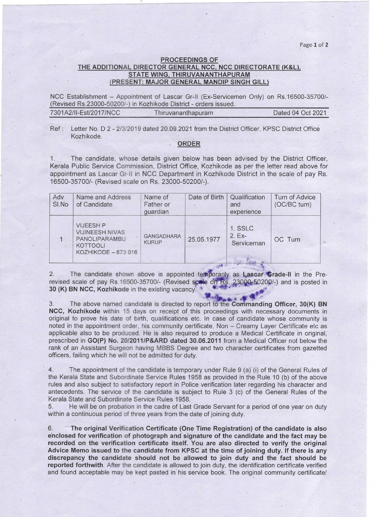Page 1 of 2

## **PROCEEDINGS OF** THE ADDITIONAL DIRECTOR GENERAL NCC, NCC DIRECTORATE (K&L), STATE WING, THIRUVANANTHAPURAM (PRESENT: MAJOR GENERAL MANDIP SINGH GILL)

NCC Establishment - Appointment of Lascar Gr-II (Ex-Servicemen Only) on Rs.16500-35700/-(Revised Rs.23000-50200/-) in Kozhikode District - orders issued.

| 7301A2/II-Est/2017/NCC | Thiruvananthapuram | Dated 04 Oct 2021 |
|------------------------|--------------------|-------------------|
|                        |                    |                   |

 $Ref:$ Letter No. D 2 - 2/3/2019 dated 20.09.2021 from the District Officer, KPSC District Office Kozhikode.

## ORDER

The candidate, whose details given below has been advised by the District Officer,  $1.$ Kerala Public Service Commission, District Office, Kozhikode as per the letter read above for appointment as Lascar Gr-II in NCC Department in Kozhikode District in the scale of pay Rs. 16500-35700/- (Revised scale on Rs. 23000-50200/-).

| Adv<br>SI.No | Name and Address<br>of Candidate                                                                      | Name of<br>Father or<br>guardian  | Date of Birth                   | Qualification<br>and<br>experience                 | Turn of Advice<br>(OC/BC turn) |
|--------------|-------------------------------------------------------------------------------------------------------|-----------------------------------|---------------------------------|----------------------------------------------------|--------------------------------|
|              | <b>VIJEESH P</b><br><b>VIJINEESH NIVAS</b><br>PANOLIPARAMBU<br><b>KOTTOOLI</b><br>KOZHIKODE - 673 016 | <b>GANGADHARA</b><br><b>KURUP</b> | 25.05.1977<br><b>CONTRACTOR</b> | 1. SSLC<br>$2. EX -$<br>Serviceman<br><b>STATE</b> | OC Turn                        |

 $2.$ The candidate shown above is appointed temporarily as Lascar Grade-II in the Prerevised scale of pay Rs.16500-35700/- (Revised scale on Rs. 23000-50200/-) and is posted in 30 (K) BN NCC, Kozhikode in the existing vacancy.

3. The above named candidate is directed to report to the Commanding Officer, 30(K) BN NCC, Kozhikode within 15 days on receipt of this proceedings with necessary documents in original to prove his date of birth, qualifications etc. In case of candidate whose community is noted in the appointment order, his community certificate, Non - Creamy Layer Certificate etc as applicable also to be produced. He is also required to produce a Medical Certificate in original. prescribed in GO(P) No. 20/2011/P&ARD dated 30.06.2011 from a Medical Officer not below the rank of an Assistant Surgeon having MBBS Degree and two character certificates from gazetted officers, failing which he will not be admitted for duty.

 $4$ The appointment of the candidate is temporary under Rule 9 (a) (i) of the General Rules of the Kerala State and Subordinate Service Rules 1958 as provided in the Rule 10 (b) of the above rules and also subject to satisfactory report in Police verification later regarding his character and antecedents. The service of the candidate is subject to Rule 3 (c) of the General Rules of the Kerala State and Subordinate Service Rules 1958.

He will be on probation in the cadre of Last Grade Servant for a period of one year on duty 5. within a continuous period of three years from the date of joining duty.

6. The original Verification Certificate (One Time Registration) of the candidate is also enclosed for verification of photograph and signature of the candidate and the fact may be recorded on the verification certificate itself. You are also directed to verify the original Advice Memo issued to the candidate from KPSC at the time of joining duty. If there is any discrepancy the candidate should not be allowed to join duty and the fact should be reported forthwith. After the candidate is allowed to join duty, the identification certificate verified and found acceptable may be kept pasted in his service book. The original community certificate/